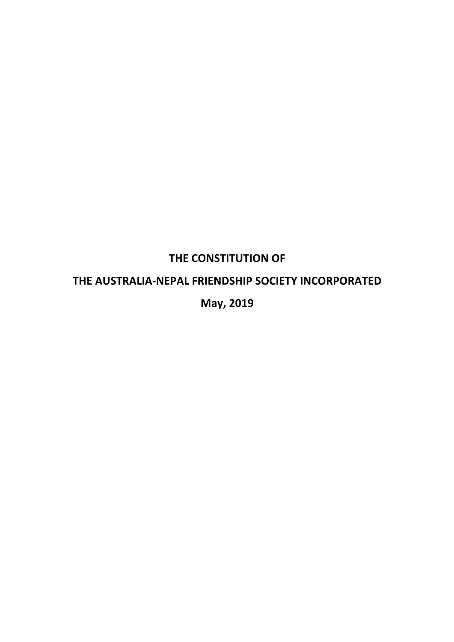# **THE CONSTITUTION OF**

## **THE AUSTRALIA-NEPAL FRIENDSHIP SOCIETY INCORPORATED**

**May, 2019**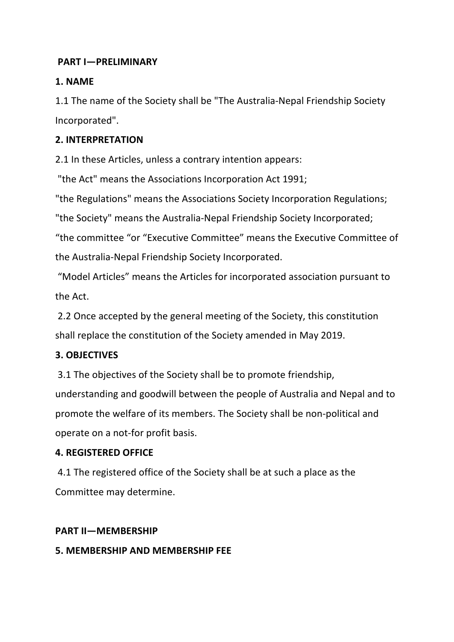## **PART I-PRELIMINARY**

## **1. NAME**

1.1 The name of the Society shall be "The Australia-Nepal Friendship Society Incorporated". 

## **2. INTERPRETATION**

2.1 In these Articles, unless a contrary intention appears:

"the Act" means the Associations Incorporation Act 1991;

"the Regulations" means the Associations Society Incorporation Regulations:

"the Society" means the Australia-Nepal Friendship Society Incorporated;

"the committee "or "Executive Committee" means the Executive Committee of the Australia-Nepal Friendship Society Incorporated.

"Model Articles" means the Articles for incorporated association pursuant to the Act.

2.2 Once accepted by the general meeting of the Society, this constitution shall replace the constitution of the Society amended in May 2019.

## **3. OBJECTIVES**

3.1 The objectives of the Society shall be to promote friendship, understanding and goodwill between the people of Australia and Nepal and to promote the welfare of its members. The Society shall be non-political and operate on a not-for profit basis.

## **4. REGISTERED OFFICE**

4.1 The registered office of the Society shall be at such a place as the Committee may determine.

## **PART II—MEMBERSHIP**

## **5. MEMBERSHIP AND MEMBERSHIP FEE**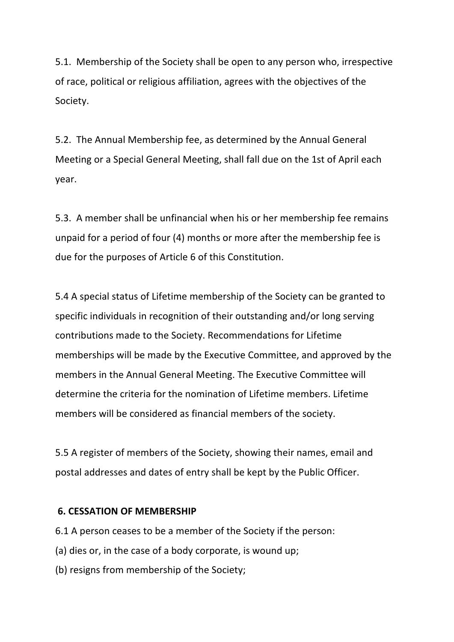5.1. Membership of the Society shall be open to any person who, irrespective of race, political or religious affiliation, agrees with the objectives of the Society. 

5.2. The Annual Membership fee, as determined by the Annual General Meeting or a Special General Meeting, shall fall due on the 1st of April each year. 

5.3. A member shall be unfinancial when his or her membership fee remains unpaid for a period of four  $(4)$  months or more after the membership fee is due for the purposes of Article 6 of this Constitution.

5.4 A special status of Lifetime membership of the Society can be granted to specific individuals in recognition of their outstanding and/or long serving contributions made to the Society. Recommendations for Lifetime memberships will be made by the Executive Committee, and approved by the members in the Annual General Meeting. The Executive Committee will determine the criteria for the nomination of Lifetime members. Lifetime members will be considered as financial members of the society.

5.5 A register of members of the Society, showing their names, email and postal addresses and dates of entry shall be kept by the Public Officer.

#### **6. CESSATION OF MEMBERSHIP**

- 6.1 A person ceases to be a member of the Society if the person:
- (a) dies or, in the case of a body corporate, is wound up;
- (b) resigns from membership of the Society;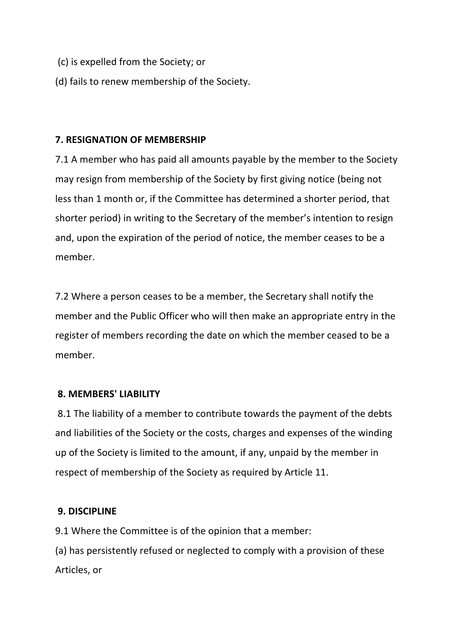- (c) is expelled from the Society; or
- (d) fails to renew membership of the Society.

### **7. RESIGNATION OF MEMBERSHIP**

7.1 A member who has paid all amounts payable by the member to the Society may resign from membership of the Society by first giving notice (being not less than 1 month or, if the Committee has determined a shorter period, that shorter period) in writing to the Secretary of the member's intention to resign and, upon the expiration of the period of notice, the member ceases to be a member. 

7.2 Where a person ceases to be a member, the Secretary shall notify the member and the Public Officer who will then make an appropriate entry in the register of members recording the date on which the member ceased to be a member.

#### **8. MEMBERS' LIABILITY**

8.1 The liability of a member to contribute towards the payment of the debts and liabilities of the Society or the costs, charges and expenses of the winding up of the Society is limited to the amount, if any, unpaid by the member in respect of membership of the Society as required by Article 11.

#### **9. DISCIPLINE**

9.1 Where the Committee is of the opinion that a member:

(a) has persistently refused or neglected to comply with a provision of these Articles, or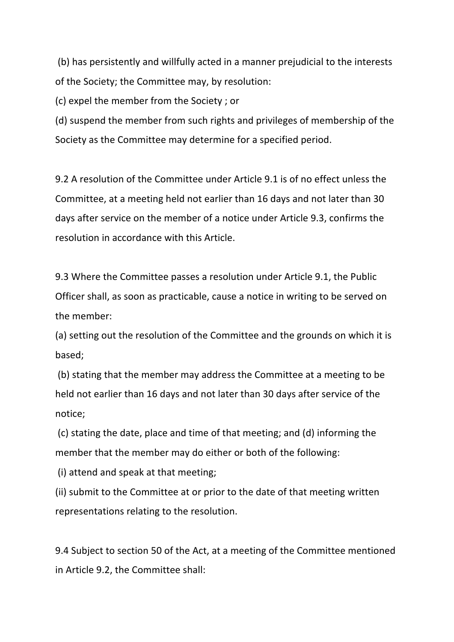(b) has persistently and willfully acted in a manner prejudicial to the interests of the Society; the Committee may, by resolution:

(c) expel the member from the Society ; or

(d) suspend the member from such rights and privileges of membership of the Society as the Committee may determine for a specified period.

9.2 A resolution of the Committee under Article 9.1 is of no effect unless the Committee, at a meeting held not earlier than 16 days and not later than 30 days after service on the member of a notice under Article 9.3, confirms the resolution in accordance with this Article.

9.3 Where the Committee passes a resolution under Article 9.1, the Public Officer shall, as soon as practicable, cause a notice in writing to be served on the member:

(a) setting out the resolution of the Committee and the grounds on which it is based;

(b) stating that the member may address the Committee at a meeting to be held not earlier than 16 days and not later than 30 days after service of the notice;

(c) stating the date, place and time of that meeting; and (d) informing the member that the member may do either or both of the following:

(i) attend and speak at that meeting;

(ii) submit to the Committee at or prior to the date of that meeting written representations relating to the resolution.

9.4 Subject to section 50 of the Act, at a meeting of the Committee mentioned in Article 9.2, the Committee shall: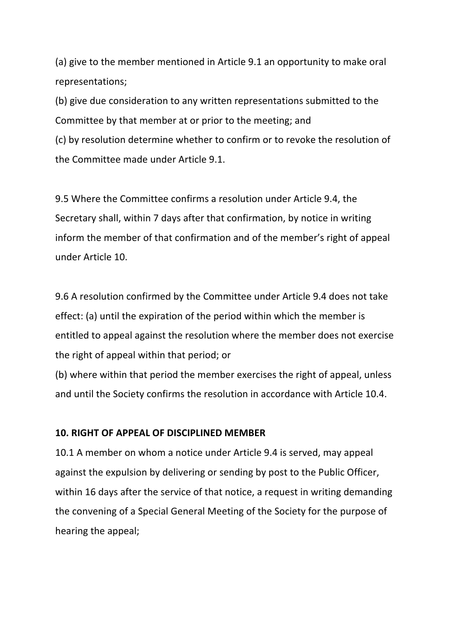(a) give to the member mentioned in Article 9.1 an opportunity to make oral representations; 

(b) give due consideration to any written representations submitted to the Committee by that member at or prior to the meeting; and

(c) by resolution determine whether to confirm or to revoke the resolution of the Committee made under Article 9.1.

9.5 Where the Committee confirms a resolution under Article 9.4, the Secretary shall, within 7 days after that confirmation, by notice in writing inform the member of that confirmation and of the member's right of appeal under Article 10. 

9.6 A resolution confirmed by the Committee under Article 9.4 does not take effect: (a) until the expiration of the period within which the member is entitled to appeal against the resolution where the member does not exercise the right of appeal within that period; or

(b) where within that period the member exercises the right of appeal, unless and until the Society confirms the resolution in accordance with Article 10.4.

#### **10. RIGHT OF APPEAL OF DISCIPLINED MEMBER**

10.1 A member on whom a notice under Article 9.4 is served, may appeal against the expulsion by delivering or sending by post to the Public Officer, within 16 days after the service of that notice, a request in writing demanding the convening of a Special General Meeting of the Society for the purpose of hearing the appeal;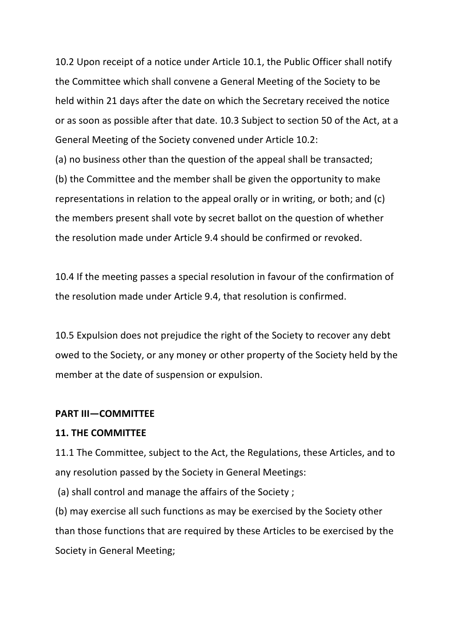10.2 Upon receipt of a notice under Article 10.1, the Public Officer shall notify the Committee which shall convene a General Meeting of the Society to be held within 21 days after the date on which the Secretary received the notice or as soon as possible after that date. 10.3 Subject to section 50 of the Act, at a General Meeting of the Society convened under Article 10.2:

(a) no business other than the question of the appeal shall be transacted;

(b) the Committee and the member shall be given the opportunity to make representations in relation to the appeal orally or in writing, or both; and  $(c)$ the members present shall vote by secret ballot on the question of whether the resolution made under Article 9.4 should be confirmed or revoked.

10.4 If the meeting passes a special resolution in favour of the confirmation of the resolution made under Article 9.4, that resolution is confirmed.

10.5 Expulsion does not prejudice the right of the Society to recover any debt owed to the Society, or any money or other property of the Society held by the member at the date of suspension or expulsion.

#### **PART III—COMMITTEE**

#### **11. THE COMMITTEE**

11.1 The Committee, subject to the Act, the Regulations, these Articles, and to any resolution passed by the Society in General Meetings:

(a) shall control and manage the affairs of the Society ;

(b) may exercise all such functions as may be exercised by the Society other than those functions that are required by these Articles to be exercised by the Society in General Meeting;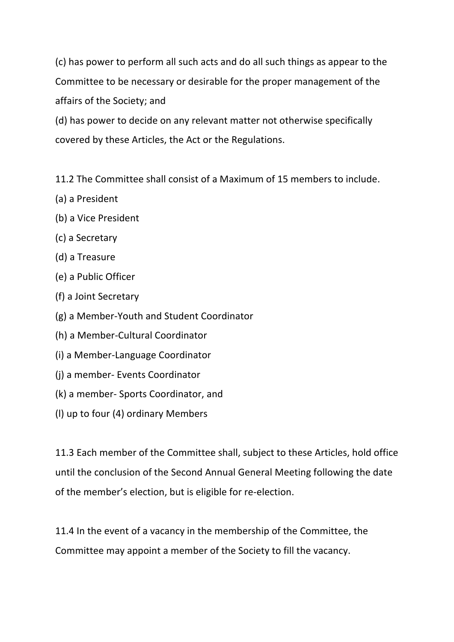(c) has power to perform all such acts and do all such things as appear to the Committee to be necessary or desirable for the proper management of the affairs of the Society; and

(d) has power to decide on any relevant matter not otherwise specifically covered by these Articles, the Act or the Regulations.

11.2 The Committee shall consist of a Maximum of 15 members to include.

- (a) a President
- (b) a Vice President
- (c) a Secretary
- (d) a Treasure
- (e) a Public Officer
- (f) a Joint Secretary
- (g) a Member-Youth and Student Coordinator
- (h) a Member-Cultural Coordinator
- (i) a Member-Language Coordinator
- (i) a member- Events Coordinator
- (k) a member- Sports Coordinator, and
- (I) up to four (4) ordinary Members

11.3 Each member of the Committee shall, subject to these Articles, hold office until the conclusion of the Second Annual General Meeting following the date of the member's election, but is eligible for re-election.

11.4 In the event of a vacancy in the membership of the Committee, the Committee may appoint a member of the Society to fill the vacancy.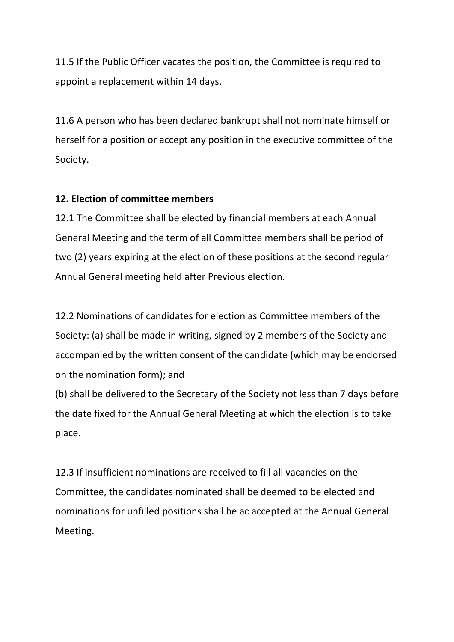11.5 If the Public Officer vacates the position, the Committee is required to appoint a replacement within 14 days.

11.6 A person who has been declared bankrupt shall not nominate himself or herself for a position or accept any position in the executive committee of the Society. 

## **12. Flection of committee members**

12.1 The Committee shall be elected by financial members at each Annual General Meeting and the term of all Committee members shall be period of two (2) years expiring at the election of these positions at the second regular Annual General meeting held after Previous election.

12.2 Nominations of candidates for election as Committee members of the Society: (a) shall be made in writing, signed by 2 members of the Society and accompanied by the written consent of the candidate (which may be endorsed on the nomination form); and

(b) shall be delivered to the Secretary of the Society not less than 7 days before the date fixed for the Annual General Meeting at which the election is to take place. 

12.3 If insufficient nominations are received to fill all vacancies on the Committee, the candidates nominated shall be deemed to be elected and nominations for unfilled positions shall be ac accepted at the Annual General Meeting.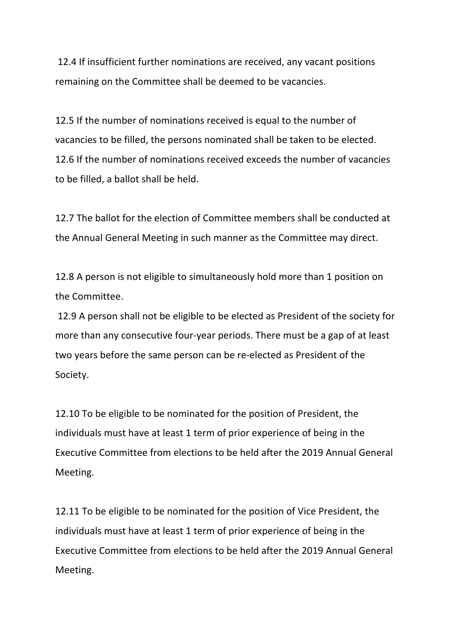12.4 If insufficient further nominations are received, any vacant positions remaining on the Committee shall be deemed to be vacancies.

12.5 If the number of nominations received is equal to the number of vacancies to be filled, the persons nominated shall be taken to be elected. 12.6 If the number of nominations received exceeds the number of vacancies to be filled, a ballot shall be held.

12.7 The ballot for the election of Committee members shall be conducted at the Annual General Meeting in such manner as the Committee may direct.

12.8 A person is not eligible to simultaneously hold more than 1 position on the Committee.

12.9 A person shall not be eligible to be elected as President of the society for more than any consecutive four-year periods. There must be a gap of at least two years before the same person can be re-elected as President of the Society.

12.10 To be eligible to be nominated for the position of President, the individuals must have at least 1 term of prior experience of being in the Executive Committee from elections to be held after the 2019 Annual General Meeting.

12.11 To be eligible to be nominated for the position of Vice President, the individuals must have at least 1 term of prior experience of being in the Executive Committee from elections to be held after the 2019 Annual General Meeting.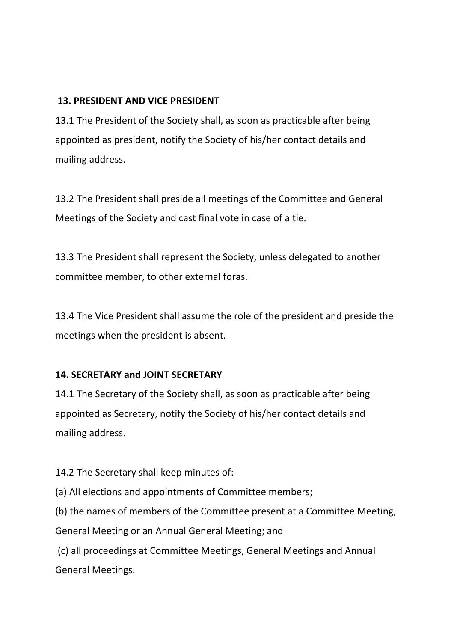## **13. PRESIDENT AND VICE PRESIDENT**

13.1 The President of the Society shall, as soon as practicable after being appointed as president, notify the Society of his/her contact details and mailing address.

13.2 The President shall preside all meetings of the Committee and General Meetings of the Society and cast final vote in case of a tie.

13.3 The President shall represent the Society, unless delegated to another committee member, to other external foras.

13.4 The Vice President shall assume the role of the president and preside the meetings when the president is absent.

## **14. SECRETARY and JOINT SECRETARY**

14.1 The Secretary of the Society shall, as soon as practicable after being appointed as Secretary, notify the Society of his/her contact details and mailing address.

14.2 The Secretary shall keep minutes of:

(a) All elections and appointments of Committee members;

(b) the names of members of the Committee present at a Committee Meeting, General Meeting or an Annual General Meeting; and

(c) all proceedings at Committee Meetings, General Meetings and Annual General Meetings.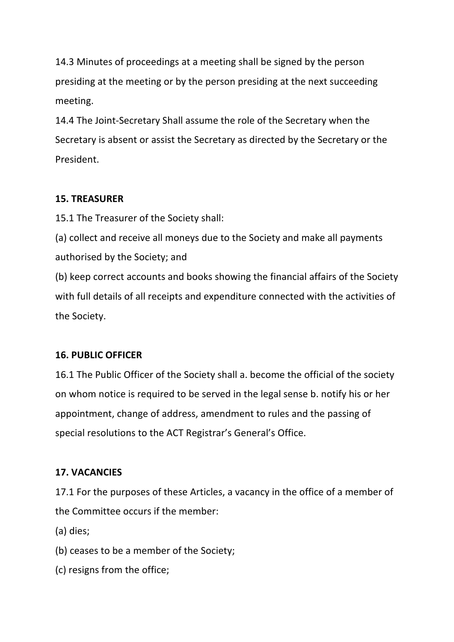14.3 Minutes of proceedings at a meeting shall be signed by the person presiding at the meeting or by the person presiding at the next succeeding meeting. 

14.4 The Joint-Secretary Shall assume the role of the Secretary when the Secretary is absent or assist the Secretary as directed by the Secretary or the President.

## **15. TREASURER**

15.1 The Treasurer of the Society shall:

(a) collect and receive all moneys due to the Society and make all payments authorised by the Society; and

(b) keep correct accounts and books showing the financial affairs of the Society with full details of all receipts and expenditure connected with the activities of the Society.

## **16. PUBLIC OFFICER**

16.1 The Public Officer of the Society shall a. become the official of the society on whom notice is required to be served in the legal sense b. notify his or her appointment, change of address, amendment to rules and the passing of special resolutions to the ACT Registrar's General's Office.

## **17. VACANCIES**

17.1 For the purposes of these Articles, a vacancy in the office of a member of the Committee occurs if the member:

(a) dies;

(b) ceases to be a member of the Society;

(c) resigns from the office;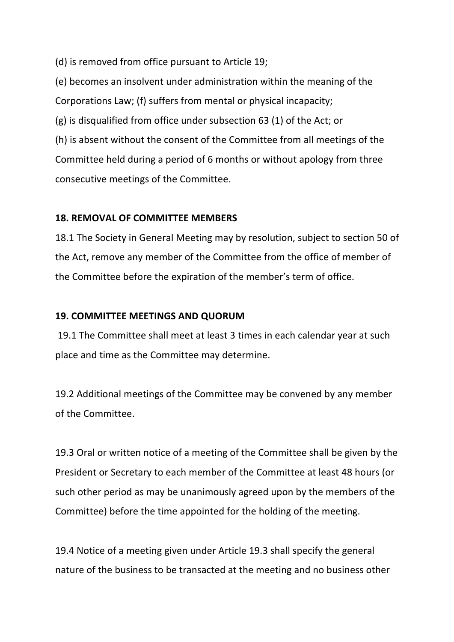(d) is removed from office pursuant to Article 19;

(e) becomes an insolvent under administration within the meaning of the Corporations Law; (f) suffers from mental or physical incapacity;  $(g)$  is disqualified from office under subsection 63 (1) of the Act; or (h) is absent without the consent of the Committee from all meetings of the Committee held during a period of 6 months or without apology from three consecutive meetings of the Committee.

#### **18. REMOVAL OF COMMITTEE MEMBERS**

18.1 The Society in General Meeting may by resolution, subject to section 50 of the Act, remove any member of the Committee from the office of member of the Committee before the expiration of the member's term of office.

### **19. COMMITTEE MEETINGS AND QUORUM**

19.1 The Committee shall meet at least 3 times in each calendar year at such place and time as the Committee may determine.

19.2 Additional meetings of the Committee may be convened by any member of the Committee.

19.3 Oral or written notice of a meeting of the Committee shall be given by the President or Secretary to each member of the Committee at least 48 hours (or such other period as may be unanimously agreed upon by the members of the Committee) before the time appointed for the holding of the meeting.

19.4 Notice of a meeting given under Article 19.3 shall specify the general nature of the business to be transacted at the meeting and no business other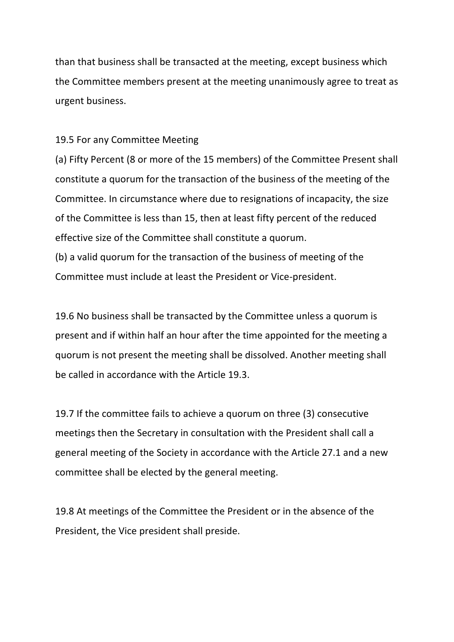than that business shall be transacted at the meeting, except business which the Committee members present at the meeting unanimously agree to treat as urgent business.

#### 19.5 For any Committee Meeting

(a) Fifty Percent (8 or more of the 15 members) of the Committee Present shall constitute a quorum for the transaction of the business of the meeting of the Committee. In circumstance where due to resignations of incapacity, the size of the Committee is less than 15, then at least fifty percent of the reduced effective size of the Committee shall constitute a quorum. (b) a valid quorum for the transaction of the business of meeting of the Committee must include at least the President or Vice-president.

19.6 No business shall be transacted by the Committee unless a quorum is present and if within half an hour after the time appointed for the meeting a quorum is not present the meeting shall be dissolved. Another meeting shall be called in accordance with the Article 19.3.

19.7 If the committee fails to achieve a quorum on three (3) consecutive meetings then the Secretary in consultation with the President shall call a general meeting of the Society in accordance with the Article 27.1 and a new committee shall be elected by the general meeting.

19.8 At meetings of the Committee the President or in the absence of the President, the Vice president shall preside.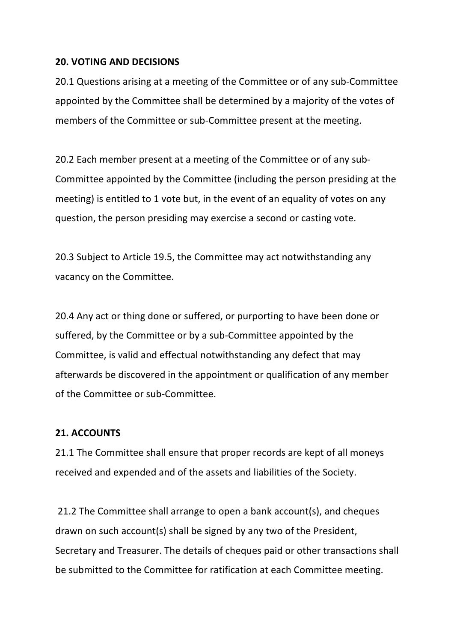#### **20. VOTING AND DECISIONS**

20.1 Questions arising at a meeting of the Committee or of any sub-Committee appointed by the Committee shall be determined by a majority of the votes of members of the Committee or sub-Committee present at the meeting.

20.2 Each member present at a meeting of the Committee or of any sub-Committee appointed by the Committee (including the person presiding at the meeting) is entitled to 1 vote but, in the event of an equality of votes on any question, the person presiding may exercise a second or casting vote.

20.3 Subject to Article 19.5, the Committee may act notwithstanding any vacancy on the Committee.

20.4 Any act or thing done or suffered, or purporting to have been done or suffered, by the Committee or by a sub-Committee appointed by the Committee, is valid and effectual notwithstanding any defect that may afterwards be discovered in the appointment or qualification of any member of the Committee or sub-Committee.

#### **21. ACCOUNTS**

21.1 The Committee shall ensure that proper records are kept of all moneys received and expended and of the assets and liabilities of the Society.

21.2 The Committee shall arrange to open a bank account(s), and cheques drawn on such account(s) shall be signed by any two of the President, Secretary and Treasurer. The details of cheques paid or other transactions shall be submitted to the Committee for ratification at each Committee meeting.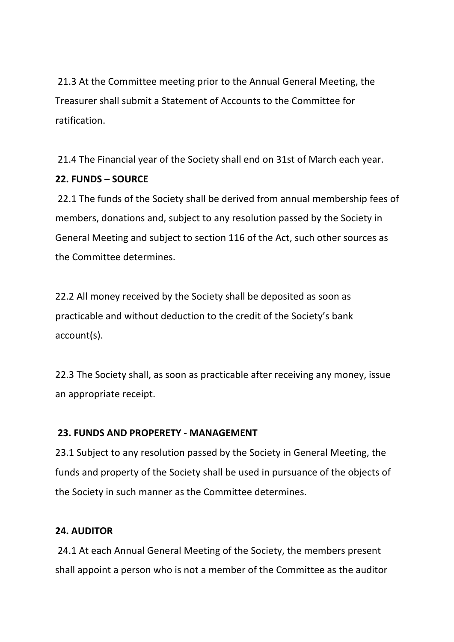21.3 At the Committee meeting prior to the Annual General Meeting, the Treasurer shall submit a Statement of Accounts to the Committee for ratification.

21.4 The Financial year of the Society shall end on 31st of March each year. **22. FUNDS – SOURCE**

22.1 The funds of the Society shall be derived from annual membership fees of members, donations and, subject to any resolution passed by the Society in General Meeting and subject to section 116 of the Act, such other sources as the Committee determines.

22.2 All money received by the Society shall be deposited as soon as practicable and without deduction to the credit of the Society's bank account(s). 

22.3 The Society shall, as soon as practicable after receiving any money, issue an appropriate receipt.

## **23. FUNDS AND PROPERETY - MANAGEMENT**

23.1 Subject to any resolution passed by the Society in General Meeting, the funds and property of the Society shall be used in pursuance of the objects of the Society in such manner as the Committee determines.

#### **24. AUDITOR**

24.1 At each Annual General Meeting of the Society, the members present shall appoint a person who is not a member of the Committee as the auditor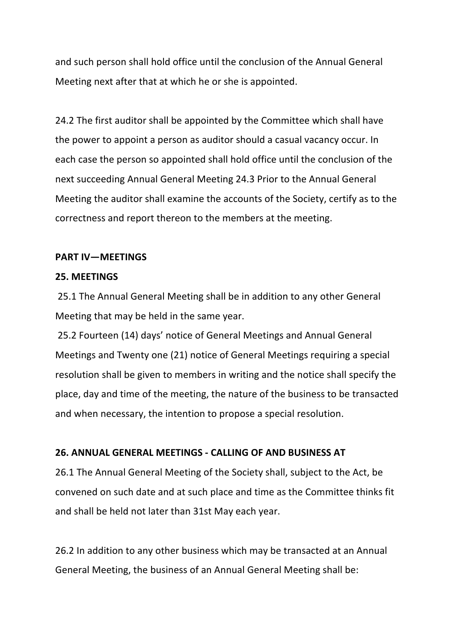and such person shall hold office until the conclusion of the Annual General Meeting next after that at which he or she is appointed.

24.2 The first auditor shall be appointed by the Committee which shall have the power to appoint a person as auditor should a casual vacancy occur. In each case the person so appointed shall hold office until the conclusion of the next succeeding Annual General Meeting 24.3 Prior to the Annual General Meeting the auditor shall examine the accounts of the Society, certify as to the correctness and report thereon to the members at the meeting.

#### **PART IV-MEETINGS**

#### **25. MEETINGS**

25.1 The Annual General Meeting shall be in addition to any other General Meeting that may be held in the same year.

25.2 Fourteen (14) days' notice of General Meetings and Annual General Meetings and Twenty one (21) notice of General Meetings requiring a special resolution shall be given to members in writing and the notice shall specify the place, day and time of the meeting, the nature of the business to be transacted and when necessary, the intention to propose a special resolution.

#### **26. ANNUAL GENERAL MEETINGS - CALLING OF AND BUSINESS AT**

26.1 The Annual General Meeting of the Society shall, subject to the Act, be convened on such date and at such place and time as the Committee thinks fit and shall be held not later than 31st May each year.

26.2 In addition to any other business which may be transacted at an Annual General Meeting, the business of an Annual General Meeting shall be: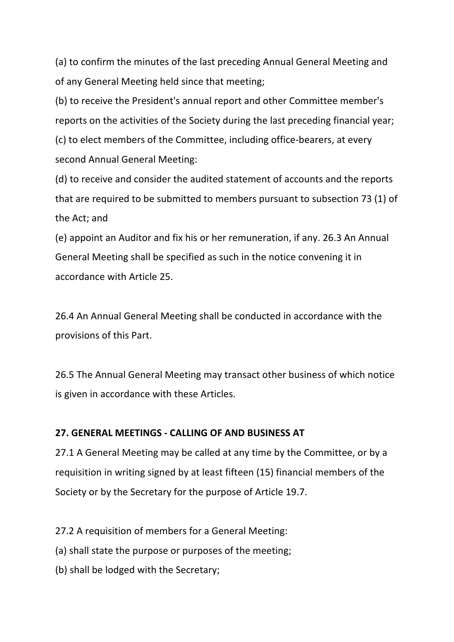(a) to confirm the minutes of the last preceding Annual General Meeting and of any General Meeting held since that meeting;

(b) to receive the President's annual report and other Committee member's reports on the activities of the Society during the last preceding financial year; (c) to elect members of the Committee, including office-bearers, at every second Annual General Meeting:

(d) to receive and consider the audited statement of accounts and the reports that are required to be submitted to members pursuant to subsection 73 (1) of the Act; and

(e) appoint an Auditor and fix his or her remuneration, if any. 26.3 An Annual General Meeting shall be specified as such in the notice convening it in accordance with Article 25.

26.4 An Annual General Meeting shall be conducted in accordance with the provisions of this Part.

26.5 The Annual General Meeting may transact other business of which notice is given in accordance with these Articles.

## **27. GENERAL MEETINGS - CALLING OF AND BUSINESS AT**

27.1 A General Meeting may be called at any time by the Committee, or by a requisition in writing signed by at least fifteen (15) financial members of the Society or by the Secretary for the purpose of Article 19.7.

27.2 A requisition of members for a General Meeting:

(a) shall state the purpose or purposes of the meeting;

(b) shall be lodged with the Secretary;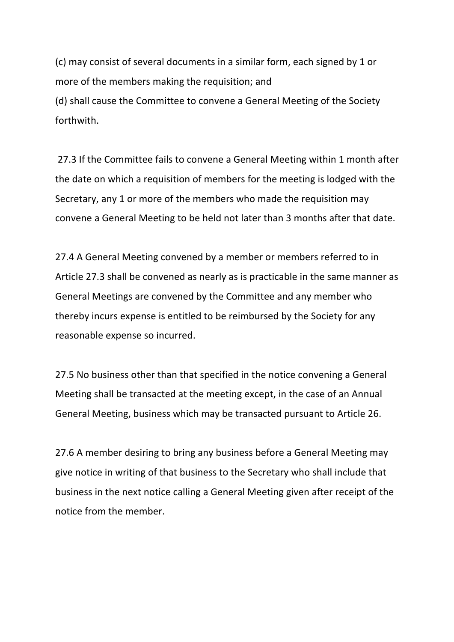(c) may consist of several documents in a similar form, each signed by 1 or more of the members making the requisition; and (d) shall cause the Committee to convene a General Meeting of the Society forthwith.

27.3 If the Committee fails to convene a General Meeting within 1 month after the date on which a requisition of members for the meeting is lodged with the Secretary, any 1 or more of the members who made the requisition may convene a General Meeting to be held not later than 3 months after that date.

27.4 A General Meeting convened by a member or members referred to in Article 27.3 shall be convened as nearly as is practicable in the same manner as General Meetings are convened by the Committee and any member who thereby incurs expense is entitled to be reimbursed by the Society for any reasonable expense so incurred.

27.5 No business other than that specified in the notice convening a General Meeting shall be transacted at the meeting except, in the case of an Annual General Meeting, business which may be transacted pursuant to Article 26.

27.6 A member desiring to bring any business before a General Meeting may give notice in writing of that business to the Secretary who shall include that business in the next notice calling a General Meeting given after receipt of the notice from the member.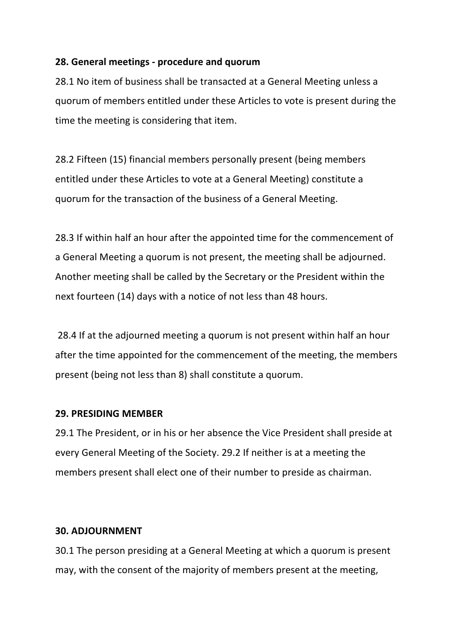#### **28. General meetings - procedure and quorum**

28.1 No item of business shall be transacted at a General Meeting unless a guorum of members entitled under these Articles to vote is present during the time the meeting is considering that item.

28.2 Fifteen (15) financial members personally present (being members entitled under these Articles to vote at a General Meeting) constitute a quorum for the transaction of the business of a General Meeting.

28.3 If within half an hour after the appointed time for the commencement of a General Meeting a quorum is not present, the meeting shall be adjourned. Another meeting shall be called by the Secretary or the President within the next fourteen (14) days with a notice of not less than 48 hours.

28.4 If at the adjourned meeting a quorum is not present within half an hour after the time appointed for the commencement of the meeting, the members present (being not less than 8) shall constitute a quorum.

#### **29. PRESIDING MEMBER**

29.1 The President, or in his or her absence the Vice President shall preside at every General Meeting of the Society. 29.2 If neither is at a meeting the members present shall elect one of their number to preside as chairman.

#### **30. ADJOURNMENT**

30.1 The person presiding at a General Meeting at which a quorum is present may, with the consent of the majority of members present at the meeting,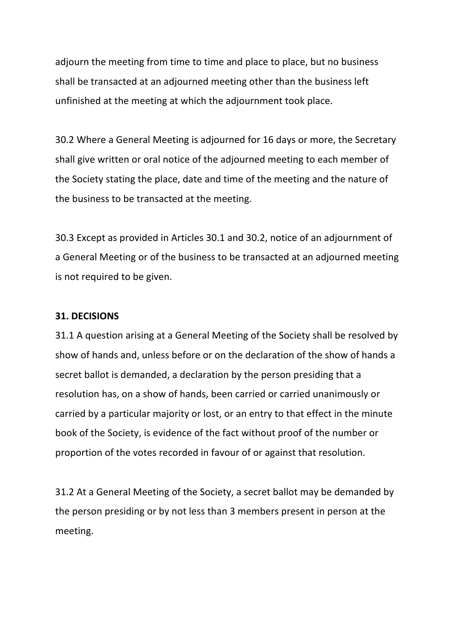adjourn the meeting from time to time and place to place, but no business shall be transacted at an adjourned meeting other than the business left unfinished at the meeting at which the adjournment took place.

30.2 Where a General Meeting is adjourned for 16 days or more, the Secretary shall give written or oral notice of the adjourned meeting to each member of the Society stating the place, date and time of the meeting and the nature of the business to be transacted at the meeting.

30.3 Except as provided in Articles 30.1 and 30.2, notice of an adjournment of a General Meeting or of the business to be transacted at an adjourned meeting is not required to be given.

#### **31. DECISIONS**

31.1 A question arising at a General Meeting of the Society shall be resolved by show of hands and, unless before or on the declaration of the show of hands a secret ballot is demanded, a declaration by the person presiding that a resolution has, on a show of hands, been carried or carried unanimously or carried by a particular majority or lost, or an entry to that effect in the minute book of the Society, is evidence of the fact without proof of the number or proportion of the votes recorded in favour of or against that resolution.

31.2 At a General Meeting of the Society, a secret ballot may be demanded by the person presiding or by not less than 3 members present in person at the meeting.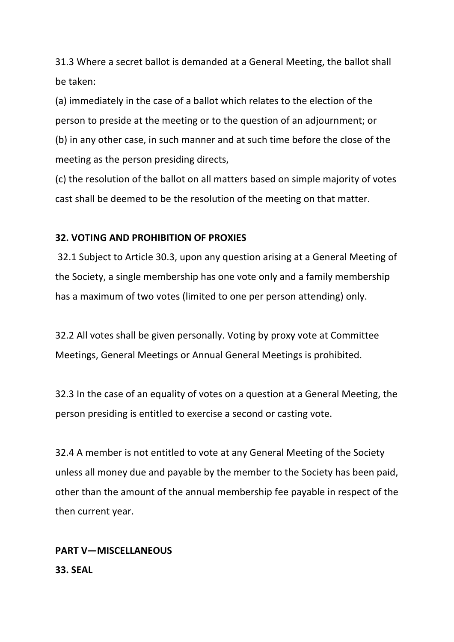31.3 Where a secret ballot is demanded at a General Meeting, the ballot shall be taken: 

(a) immediately in the case of a ballot which relates to the election of the person to preside at the meeting or to the question of an adjournment; or (b) in any other case, in such manner and at such time before the close of the meeting as the person presiding directs,

(c) the resolution of the ballot on all matters based on simple majority of votes cast shall be deemed to be the resolution of the meeting on that matter.

#### **32. VOTING AND PROHIBITION OF PROXIES**

32.1 Subject to Article 30.3, upon any question arising at a General Meeting of the Society, a single membership has one vote only and a family membership has a maximum of two votes (limited to one per person attending) only.

32.2 All votes shall be given personally. Voting by proxy vote at Committee Meetings, General Meetings or Annual General Meetings is prohibited.

32.3 In the case of an equality of votes on a question at a General Meeting, the person presiding is entitled to exercise a second or casting vote.

32.4 A member is not entitled to vote at any General Meeting of the Society unless all money due and payable by the member to the Society has been paid, other than the amount of the annual membership fee payable in respect of the then current year.

# **PART V—MISCELLANEOUS 33. SEAL**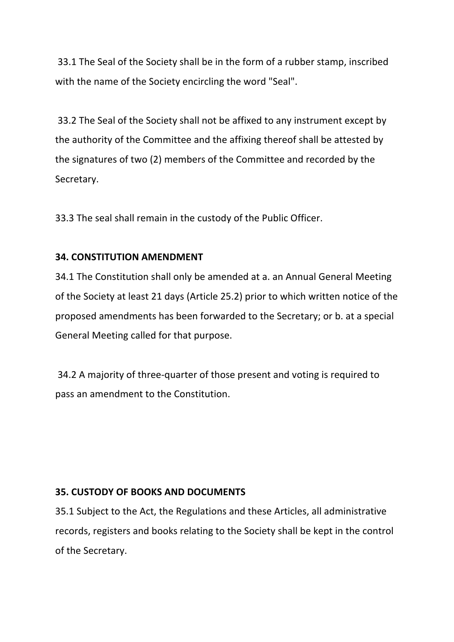33.1 The Seal of the Society shall be in the form of a rubber stamp, inscribed with the name of the Society encircling the word "Seal".

33.2 The Seal of the Society shall not be affixed to any instrument except by the authority of the Committee and the affixing thereof shall be attested by the signatures of two (2) members of the Committee and recorded by the Secretary. 

33.3 The seal shall remain in the custody of the Public Officer.

### **34. CONSTITUTION AMENDMENT**

34.1 The Constitution shall only be amended at a. an Annual General Meeting of the Society at least 21 days (Article 25.2) prior to which written notice of the proposed amendments has been forwarded to the Secretary; or b. at a special General Meeting called for that purpose.

34.2 A majority of three-quarter of those present and voting is required to pass an amendment to the Constitution.

#### **35. CUSTODY OF BOOKS AND DOCUMENTS**

35.1 Subject to the Act, the Regulations and these Articles, all administrative records, registers and books relating to the Society shall be kept in the control of the Secretary.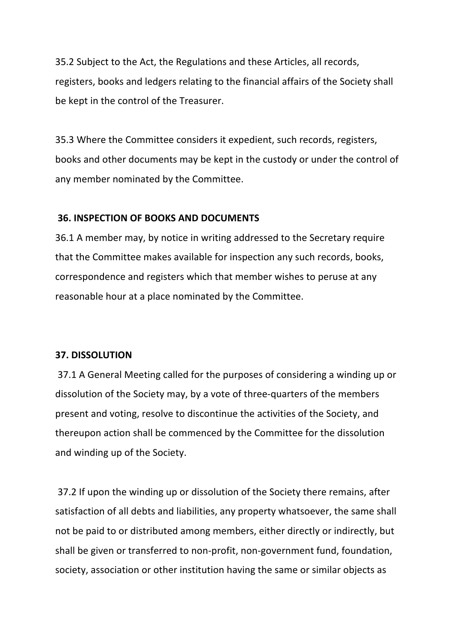35.2 Subject to the Act, the Regulations and these Articles, all records, registers, books and ledgers relating to the financial affairs of the Society shall be kept in the control of the Treasurer.

35.3 Where the Committee considers it expedient, such records, registers, books and other documents may be kept in the custody or under the control of any member nominated by the Committee.

#### **36. INSPECTION OF BOOKS AND DOCUMENTS**

36.1 A member may, by notice in writing addressed to the Secretary require that the Committee makes available for inspection any such records, books, correspondence and registers which that member wishes to peruse at any reasonable hour at a place nominated by the Committee.

#### **37. DISSOLUTION**

37.1 A General Meeting called for the purposes of considering a winding up or dissolution of the Society may, by a vote of three-quarters of the members present and voting, resolve to discontinue the activities of the Society, and thereupon action shall be commenced by the Committee for the dissolution and winding up of the Society.

37.2 If upon the winding up or dissolution of the Society there remains, after satisfaction of all debts and liabilities, any property whatsoever, the same shall not be paid to or distributed among members, either directly or indirectly, but shall be given or transferred to non-profit, non-government fund, foundation, society, association or other institution having the same or similar objects as